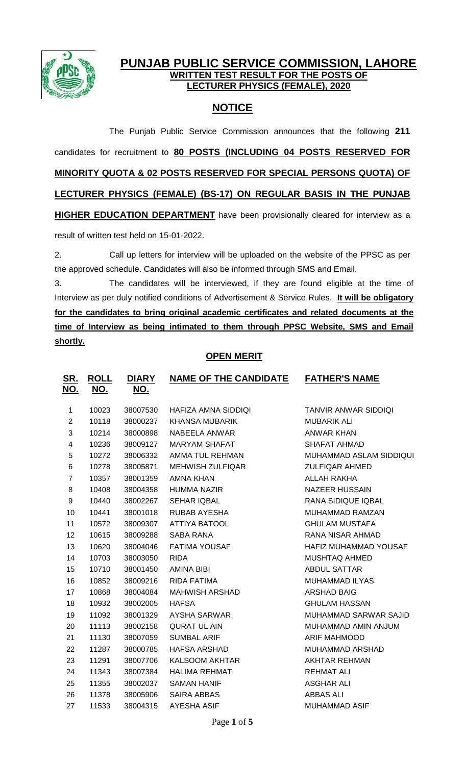

## **PUNJAB PUBLIC SERVICE COMMISSION, LAHORE WRITTEN TEST RESULT FOR THE POSTS OF LECTURER PHYSICS (FEMALE), 2020**

## **NOTICE**

The Punjab Public Service Commission announces that the following **211** candidates for recruitment to **80 POSTS (INCLUDING 04 POSTS RESERVED FOR MINORITY QUOTA & 02 POSTS RESERVED FOR SPECIAL PERSONS QUOTA) OF LECTURER PHYSICS (FEMALE) (BS-17) ON REGULAR BASIS IN THE PUNJAB HIGHER EDUCATION DEPARTMENT** have been provisionally cleared for interview as a result of written test held on 15-01-2022.

2. Call up letters for interview will be uploaded on the website of the PPSC as per the approved schedule. Candidates will also be informed through SMS and Email.

3. The candidates will be interviewed, if they are found eligible at the time of Interview as per duly notified conditions of Advertisement & Service Rules. **It will be obligatory for the candidates to bring original academic certificates and related documents at the time of Interview as being intimated to them through PPSC Website, SMS and Email shortly.**

## **OPEN MERIT**

| <u>SR.</u><br><u>NO.</u> | <b>ROLL</b><br><u>NO.</u> | <b>DIARY</b><br>NO. | <b>NAME OF THE CANDIDATE</b> | <b>FATHER'S NAME</b>        |
|--------------------------|---------------------------|---------------------|------------------------------|-----------------------------|
| $\mathbf 1$              | 10023                     | 38007530            | HAFIZA AMNA SIDDIQI          | <b>TANVIR ANWAR SIDDIQI</b> |
| $\overline{2}$           | 10118                     | 38000237            | <b>KHANSA MUBARIK</b>        | <b>MUBARIK ALI</b>          |
| 3                        | 10214                     | 38000898            | NABEELA ANWAR                | ANWAR KHAN                  |
| 4                        | 10236                     | 38009127            | <b>MARYAM SHAFAT</b>         | <b>SHAFAT AHMAD</b>         |
| 5                        | 10272                     | 38006332            | AMMA TUL REHMAN              | MUHAMMAD ASLAM SIDDIQUI     |
| 6                        | 10278                     | 38005871            | <b>MEHWISH ZULFIQAR</b>      | <b>ZULFIQAR AHMED</b>       |
| $\overline{7}$           | 10357                     | 38001359            | AMNA KHAN                    | ALLAH RAKHA                 |
| 8                        | 10408                     | 38004358            | <b>HUMMA NAZIR</b>           | <b>NAZEER HUSSAIN</b>       |
| 9                        | 10440                     | 38002267            | <b>SEHAR IQBAL</b>           | RANA SIDIQUE IQBAL          |
| 10                       | 10441                     | 38001018            | <b>RUBAB AYESHA</b>          | MUHAMMAD RAMZAN             |
| 11                       | 10572                     | 38009307            | <b>ATTIYA BATOOL</b>         | <b>GHULAM MUSTAFA</b>       |
| 12                       | 10615                     | 38009288            | SABA RANA                    | RANA NISAR AHMAD            |
| 13                       | 10620                     | 38004046            | <b>FATIMA YOUSAF</b>         | HAFIZ MUHAMMAD YOUSAF       |
| 14                       | 10703                     | 38003050            | <b>RIDA</b>                  | <b>MUSHTAQ AHMED</b>        |
| 15                       | 10710                     | 38001450            | <b>AMINA BIBI</b>            | <b>ABDUL SATTAR</b>         |
| 16                       | 10852                     | 38009216            | RIDA FATIMA                  | <b>MUHAMMAD ILYAS</b>       |
| 17                       | 10868                     | 38004084            | <b>MAHWISH ARSHAD</b>        | <b>ARSHAD BAIG</b>          |
| 18                       | 10932                     | 38002005            | <b>HAFSA</b>                 | <b>GHULAM HASSAN</b>        |
| 19                       | 11092                     | 38001329            | <b>AYSHA SARWAR</b>          | MUHAMMAD SARWAR SAJID       |
| 20                       | 11113                     | 38002158            | <b>QURAT UL AIN</b>          | MUHAMMAD AMIN ANJUM         |
| 21                       | 11130                     | 38007059            | <b>SUMBAL ARIF</b>           | <b>ARIF MAHMOOD</b>         |
| 22                       | 11287                     | 38000785            | <b>HAFSA ARSHAD</b>          | MUHAMMAD ARSHAD             |
| 23                       | 11291                     | 38007706            | KALSOOM AKHTAR               | <b>AKHTAR REHMAN</b>        |
| 24                       | 11343                     | 38007384            | <b>HALIMA REHMAT</b>         | <b>REHMAT ALI</b>           |
| 25                       | 11355                     | 38002037            | <b>SAMAN HANIF</b>           | <b>ASGHAR ALI</b>           |
| 26                       | 11378                     | 38005906            | <b>SAIRA ABBAS</b>           | <b>ABBAS ALI</b>            |
| 27                       | 11533                     | 38004315            | <b>AYESHA ASIF</b>           | <b>MUHAMMAD ASIF</b>        |
|                          |                           |                     |                              |                             |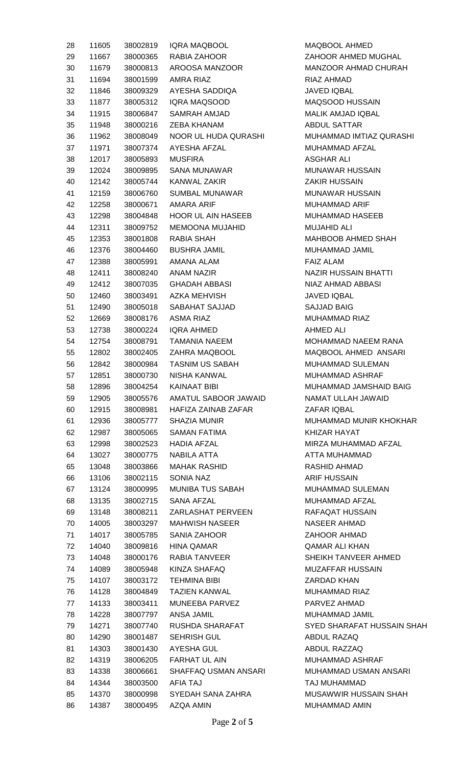| 28 | 11605 | 38002819 | <b>IQRA MAQBOOL</b>         | MAQBOOL AHMED                    |
|----|-------|----------|-----------------------------|----------------------------------|
| 29 | 11667 | 38000365 | RABIA ZAHOOR                | ZAHOOR AHMED MUGHAL              |
| 30 | 11679 | 38000813 | AROOSA MANZOOR              | MANZOOR AHMAD CHURAH             |
| 31 | 11694 | 38001599 | AMRA RIAZ                   | RIAZ AHMAD                       |
| 32 | 11846 | 38009329 | AYESHA SADDIQA              | <b>JAVED IQBAL</b>               |
| 33 | 11877 | 38005312 | IQRA MAQSOOD                | MAQSOOD HUSSAIN                  |
| 34 | 11915 | 38006847 | SAMRAH AMJAD                | MALIK AMJAD IQBAL                |
| 35 | 11948 | 38000216 | <b>ZEBA KHANAM</b>          | <b>ABDUL SATTAR</b>              |
| 36 | 11962 | 38008049 | NOOR UL HUDA QURASHI        | MUHAMMAD IMTIAZ QURASHI          |
| 37 | 11971 | 38007374 | AYESHA AFZAL                | MUHAMMAD AFZAL                   |
| 38 | 12017 | 38005893 | <b>MUSFIRA</b>              | <b>ASGHAR ALI</b>                |
| 39 | 12024 | 38009895 | SANA MUNAWAR                | <b>MUNAWAR HUSSAIN</b>           |
| 40 | 12142 | 38005744 | KANWAL ZAKIR                | <b>ZAKIR HUSSAIN</b>             |
| 41 | 12159 | 38006760 | SUMBAL MUNAWAR              | MUNAWAR HUSSAIN                  |
| 42 | 12258 | 38000671 | AMARA ARIF                  | <b>MUHAMMAD ARIF</b>             |
| 43 | 12298 | 38004848 | <b>HOOR UL AIN HASEEB</b>   | MUHAMMAD HASEEB                  |
| 44 | 12311 | 38009752 | <b>MEMOONA MUJAHID</b>      | <b>MUJAHID ALI</b>               |
| 45 | 12353 | 38001808 | RABIA SHAH                  | <b>MAHBOOB AHMED SHAH</b>        |
| 46 | 12376 | 38004460 | <b>BUSHRA JAMIL</b>         | MUHAMMAD JAMIL                   |
| 47 | 12388 | 38005991 | AMANA ALAM                  | <b>FAIZ ALAM</b>                 |
|    |       |          | ANAM NAZIR                  | NAZIR HUSSAIN BHATTI             |
| 48 | 12411 | 38008240 |                             |                                  |
| 49 | 12412 | 38007035 | GHADAH ABBASI               | NIAZ AHMAD ABBASI<br>JAVED IQBAL |
| 50 | 12460 | 38003491 | AZKA MEHVISH                |                                  |
| 51 | 12490 | 38005018 | SABAHAT SAJJAD              | <b>SAJJAD BAIG</b>               |
| 52 | 12669 | 38008176 | <b>ASMA RIAZ</b>            | <b>MUHAMMAD RIAZ</b>             |
| 53 | 12738 | 38000224 | IQRA AHMED<br>TAMANIA NAEEM | AHMED ALI                        |
| 54 | 12754 | 38008791 |                             | MOHAMMAD NAEEM RANA              |
| 55 | 12802 | 38002405 | ZAHRA MAQBOOL               | MAQBOOL AHMED ANSARI             |
| 56 | 12842 | 38000984 | <b>TASNIM US SABAH</b>      | MUHAMMAD SULEMAN                 |
| 57 | 12851 | 38000730 | NISHA KANWAL                | <b>MUHAMMAD ASHRAF</b>           |
| 58 | 12896 | 38004254 | <b>KAINAAT BIBI</b>         | MUHAMMAD JAMSHAID BAIG           |
| 59 | 12905 | 38005576 | AMATUL SABOOR JAWAID        | NAMAT ULLAH JAWAID               |
| 60 | 12915 | 38008981 | HAFIZA ZAINAB ZAFAR         | ZAFAR IQBAL                      |
| 61 | 12936 | 38005777 | <b>SHAZIA MUNIR</b>         | MUHAMMAD MUNIR KHOKHAR           |
| 62 | 12987 | 38005065 | SAMAN FATIMA                | KHIZAR HAYAT                     |
| 63 | 12998 | 38002523 | HADIA AFZAL                 | MIRZA MUHAMMAD AFZAL             |
| 64 | 13027 | 38000775 | NABILA ATTA                 | ATTA MUHAMMAD                    |
| 65 | 13048 | 38003866 | <b>MAHAK RASHID</b>         | RASHID AHMAD                     |
| 66 | 13106 | 38002115 | SONIA NAZ                   | <b>ARIF HUSSAIN</b>              |
| 67 | 13124 | 38000995 | MUNIBA TUS SABAH            | <b>MUHAMMAD SULEMAN</b>          |
| 68 | 13135 | 38002715 | SANA AFZAL                  | MUHAMMAD AFZAL                   |
| 69 | 13148 | 38008211 | <b>ZARLASHAT PERVEEN</b>    | RAFAQAT HUSSAIN                  |
| 70 | 14005 | 38003297 | <b>MAHWISH NASEER</b>       | NASEER AHMAD                     |
| 71 | 14017 | 38005785 | SANIA ZAHOOR                | ZAHOOR AHMAD                     |
| 72 | 14040 | 38009816 | <b>HINA QAMAR</b>           | <b>QAMAR ALI KHAN</b>            |
| 73 | 14048 | 38000176 | RABIA TANVEER               | SHEIKH TANVEER AHMED             |
| 74 | 14089 | 38005948 | KINZA SHAFAQ                | <b>MUZAFFAR HUSSAIN</b>          |
| 75 | 14107 | 38003172 | <b>TEHMINA BIBI</b>         | ZARDAD KHAN                      |
| 76 | 14128 | 38004849 | <b>TAZIEN KANWAL</b>        | <b>MUHAMMAD RIAZ</b>             |
| 77 | 14133 | 38003411 | MUNEEBA PARVEZ              | PARVEZ AHMAD                     |
| 78 | 14228 | 38007797 | ANSA JAMIL                  | MUHAMMAD JAMIL                   |
| 79 | 14271 | 38007740 | RUSHDA SHARAFAT             | SYED SHARAFAT HUSSAIN SHAH       |
| 80 | 14290 | 38001487 | <b>SEHRISH GUL</b>          | ABDUL RAZAQ                      |
| 81 | 14303 | 38001430 | <b>AYESHA GUL</b>           | ABDUL RAZZAQ                     |
| 82 | 14319 | 38006205 | <b>FARHAT UL AIN</b>        | MUHAMMAD ASHRAF                  |
| 83 | 14338 | 38006661 | SHAFFAQ USMAN ANSARI        | MUHAMMAD USMAN ANSARI            |
| 84 | 14344 | 38003500 | AFIA TAJ                    | TAJ MUHAMMAD                     |
| 85 | 14370 | 38000998 | SYEDAH SANA ZAHRA           | MUSAWWIR HUSSAIN SHAH            |
| 86 | 14387 | 38000495 | AZQA AMIN                   | MUHAMMAD AMIN                    |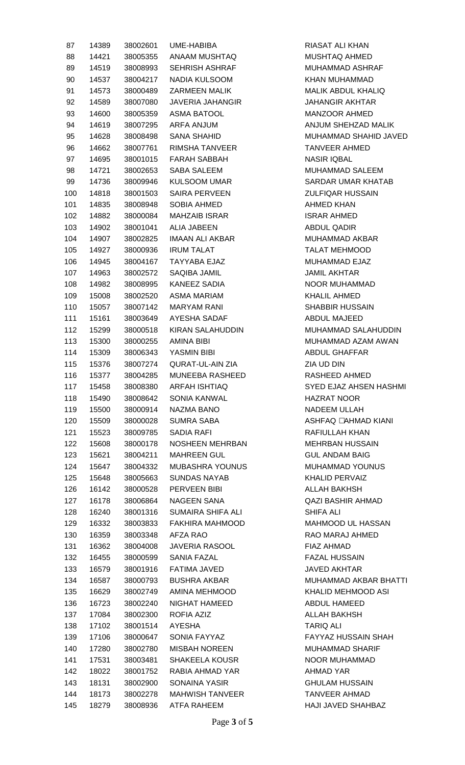| 87  | 14389 | 38002601 | <b>UME-HABIBA</b>       | RIASAT ALI KHAN          |
|-----|-------|----------|-------------------------|--------------------------|
| 88  | 14421 | 38005355 | ANAAM MUSHTAQ           | <b>MUSHTAQ AHMED</b>     |
| 89  | 14519 | 38008993 | SEHRISH ASHRAF          | MUHAMMAD ASHRAF          |
| 90  | 14537 | 38004217 | <b>NADIA KULSOOM</b>    | KHAN MUHAMMAD            |
| 91  | 14573 | 38000489 | <b>ZARMEEN MALIK</b>    | MALIK ABDUL KHALIQ       |
| 92  | 14589 | 38007080 | JAVERIA JAHANGIR        | <b>JAHANGIR AKHTAR</b>   |
| 93  | 14600 | 38005359 | <b>ASMA BATOOL</b>      | <b>MANZOOR AHMED</b>     |
| 94  | 14619 | 38007295 | ARFA ANJUM              | ANJUM SHEHZAD MALIK      |
| 95  | 14628 | 38008498 | <b>SANA SHAHID</b>      | MUHAMMAD SHAHID JAVED    |
| 96  | 14662 | 38007761 | RIMSHA TANVEER          | TANVEER AHMED            |
| 97  | 14695 | 38001015 | <b>FARAH SABBAH</b>     | <b>NASIR IQBAL</b>       |
| 98  | 14721 | 38002653 | <b>SABA SALEEM</b>      | MUHAMMAD SALEEM          |
|     |       |          | <b>KULSOOM UMAR</b>     | SARDAR UMAR KHATAB       |
| 99  | 14736 | 38009946 |                         |                          |
| 100 | 14818 | 38001503 | <b>SAIRA PERVEEN</b>    | ZULFIQAR HUSSAIN         |
| 101 | 14835 | 38008948 | SOBIA AHMED             | AHMED KHAN               |
| 102 | 14882 | 38000084 | <b>MAHZAIB ISRAR</b>    | <b>ISRAR AHMED</b>       |
| 103 | 14902 | 38001041 | <b>ALIA JABEEN</b>      | ABDUL QADIR              |
| 104 | 14907 | 38002825 | IMAAN ALI AKBAR         | MUHAMMAD AKBAR           |
| 105 | 14927 | 38000936 | <b>IRUM TALAT</b>       | <b>TALAT MEHMOOD</b>     |
| 106 | 14945 | 38004167 | TAYYABA EJAZ            | <b>MUHAMMAD EJAZ</b>     |
| 107 | 14963 | 38002572 | SAQIBA JAMIL            | <b>JAMIL AKHTAR</b>      |
| 108 | 14982 | 38008995 | <b>KANEEZ SADIA</b>     | NOOR MUHAMMAD            |
| 109 | 15008 | 38002520 | <b>ASMA MARIAM</b>      | <b>KHALIL AHMED</b>      |
| 110 | 15057 | 38007142 | <b>MARYAM RANI</b>      | <b>SHABBIR HUSSAIN</b>   |
| 111 | 15161 | 38003649 | AYESHA SADAF            | <b>ABDUL MAJEED</b>      |
| 112 | 15299 | 38000518 | KIRAN SALAHUDDIN        | MUHAMMAD SALAHUDDIN      |
| 113 | 15300 | 38000255 | AMINA BIBI              | MUHAMMAD AZAM AWAN       |
| 114 | 15309 | 38006343 | YASMIN BIBI             | <b>ABDUL GHAFFAR</b>     |
| 115 | 15376 | 38007274 | <b>QURAT-UL-AIN ZIA</b> | ZIA UD DIN               |
| 116 | 15377 | 38004285 | <b>MUNEEBA RASHEED</b>  | RASHEED AHMED            |
| 117 | 15458 | 38008380 | <b>ARFAH ISHTIAQ</b>    | SYED EJAZ AHSEN HASHMI   |
| 118 | 15490 | 38008642 | SONIA KANWAL            | <b>HAZRAT NOOR</b>       |
| 119 | 15500 | 38000914 | NAZMA BANO              | NADEEM ULLAH             |
| 120 | 15509 | 38000028 | <b>SUMRA SABA</b>       | ASHFAQ • AHMAD KIANI     |
| 121 | 15523 | 38009785 | SADIA RAFI              | RAFIULLAH KHAN           |
| 122 | 15608 | 38000178 | NOSHEEN MEHRBAN         | <b>MEHRBAN HUSSAIN</b>   |
| 123 | 15621 | 38004211 | <b>MAHREEN GUL</b>      | <b>GUL ANDAM BAIG</b>    |
| 124 | 15647 | 38004332 | <b>MUBASHRA YOUNUS</b>  | MUHAMMAD YOUNUS          |
| 125 |       |          | <b>SUNDAS NAYAB</b>     | <b>KHALID PERVAIZ</b>    |
|     | 15648 | 38005663 |                         |                          |
| 126 | 16142 | 38000528 | <b>PERVEEN BIBI</b>     | ALLAH BAKHSH             |
| 127 | 16178 | 38006864 | NAGEEN SANA             | <b>QAZI BASHIR AHMAD</b> |
| 128 | 16240 | 38001316 | SUMAIRA SHIFA ALI       | SHIFA ALI                |
| 129 | 16332 | 38003833 | FAKHIRA MAHMOOD         | MAHMOOD UL HASSAN        |
| 130 | 16359 | 38003348 | AFZA RAO                | RAO MARAJ AHMED          |
| 131 | 16362 | 38004008 | <b>JAVERIA RASOOL</b>   | FIAZ AHMAD               |
| 132 | 16455 | 38000599 | SANIA FAZAL             | <b>FAZAL HUSSAIN</b>     |
| 133 | 16579 | 38001916 | <b>FATIMA JAVED</b>     | <b>JAVED AKHTAR</b>      |
| 134 | 16587 | 38000793 | <b>BUSHRA AKBAR</b>     | MUHAMMAD AKBAR BHATTI    |
| 135 | 16629 | 38002749 | AMINA MEHMOOD           | KHALID MEHMOOD ASI       |
| 136 | 16723 | 38002240 | NIGHAT HAMEED           | ABDUL HAMEED             |
| 137 | 17084 | 38002300 | ROFIA AZIZ              | ALLAH BAKHSH             |
| 138 | 17102 | 38001514 | AYESHA                  | <b>TARIQ ALI</b>         |
| 139 | 17106 | 38000647 | SONIA FAYYAZ            | FAYYAZ HUSSAIN SHAH      |
| 140 | 17280 | 38002780 | <b>MISBAH NOREEN</b>    | <b>MUHAMMAD SHARIF</b>   |
| 141 | 17531 | 38003481 | <b>SHAKEELA KOUSR</b>   | NOOR MUHAMMAD            |
| 142 | 18022 | 38001752 | RABIA AHMAD YAR         | AHMAD YAR                |
| 143 | 18131 | 38002900 | SONAINA YASIR           | <b>GHULAM HUSSAIN</b>    |
| 144 | 18173 | 38002278 | <b>MAHWISH TANVEER</b>  | <b>TANVEER AHMAD</b>     |
| 145 | 18279 | 38008936 | ATFA RAHEEM             | HAJI JAVED SHAHBAZ       |
|     |       |          |                         |                          |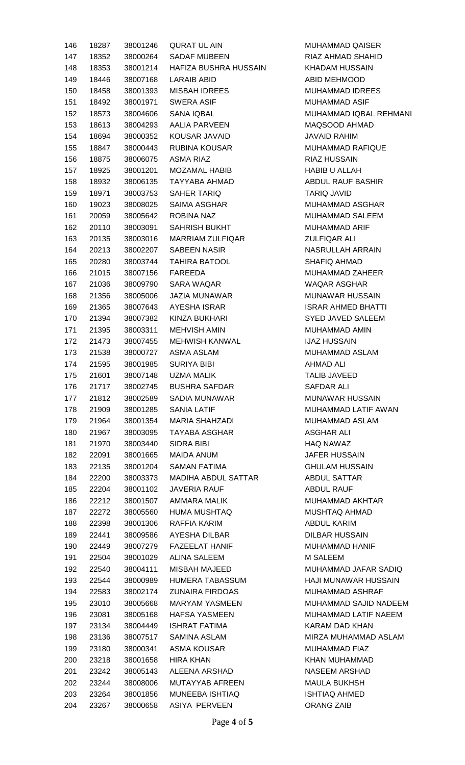| 146 | 18287 | 38001246 | QURAT UL AIN           | <b>MUHAMMAD QAISER</b>    |
|-----|-------|----------|------------------------|---------------------------|
| 147 | 18352 | 38000264 | SADAF MUBEEN           | RIAZ AHMAD SHAHID         |
| 148 | 18353 | 38001214 | HAFIZA BUSHRA HUSSAIN  | <b>KHADAM HUSSAIN</b>     |
| 149 | 18446 | 38007168 | LARAIB ABID            | <b>ABID MEHMOOD</b>       |
| 150 | 18458 | 38001393 | <b>MISBAH IDREES</b>   | <b>MUHAMMAD IDREES</b>    |
| 151 | 18492 | 38001971 | SWERA ASIF             | <b>MUHAMMAD ASIF</b>      |
| 152 | 18573 | 38004606 | SANA IQBAL             | MUHAMMAD IQBAL REHMANI    |
| 153 | 18613 | 38004293 | AALIA PARVEEN          | MAQSOOD AHMAD             |
| 154 | 18694 | 38000352 | KOUSAR JAVAID          | <b>JAVAID RAHIM</b>       |
| 155 | 18847 | 38000443 | <b>RUBINA KOUSAR</b>   | MUHAMMAD RAFIQUE          |
| 156 | 18875 | 38006075 | ASMA RIAZ              | <b>RIAZ HUSSAIN</b>       |
| 157 | 18925 | 38001201 | MOZAMAL HABIB          | <b>HABIB U ALLAH</b>      |
| 158 | 18932 | 38006135 | TAYYABA AHMAD          | ABDUL RAUF BASHIR         |
| 159 | 18971 | 38003753 | SAHER TARIQ            | <b>TARIQ JAVID</b>        |
| 160 | 19023 | 38008025 | SAIMA ASGHAR           | MUHAMMAD ASGHAR           |
| 161 | 20059 | 38005642 | ROBINA NAZ             | MUHAMMAD SALEEM           |
| 162 | 20110 | 38003091 | SAHRISH BUKHT          | MUHAMMAD ARIF             |
| 163 | 20135 | 38003016 | MARRIAM ZULFIQAR       | <b>ZULFIQAR ALI</b>       |
|     | 20213 | 38002207 | SABEEN NASIR           | NASRULLAH ARRAIN          |
| 164 |       |          |                        |                           |
| 165 | 20280 | 38003744 | TAHIRA BATOOL          | <b>SHAFIQ AHMAD</b>       |
| 166 | 21015 | 38007156 | FAREEDA                | MUHAMMAD ZAHEER           |
| 167 | 21036 | 38009790 | SARA WAQAR             | <b>WAQAR ASGHAR</b>       |
| 168 | 21356 | 38005006 | JAZIA MUNAWAR          | <b>MUNAWAR HUSSAIN</b>    |
| 169 | 21365 | 38007643 | AYESHA ISRAR           | <b>ISRAR AHMED BHATTI</b> |
| 170 | 21394 | 38007382 | KINZA BUKHARI          | SYED JAVED SALEEM         |
| 171 | 21395 | 38003311 | <b>MEHVISH AMIN</b>    | MUHAMMAD AMIN             |
| 172 | 21473 | 38007455 | MEHWISH KANWAL         | <b>IJAZ HUSSAIN</b>       |
| 173 | 21538 | 38000727 | ASMA ASLAM             | MUHAMMAD ASLAM            |
| 174 | 21595 | 38001985 | <b>SURIYA BIBI</b>     | AHMAD ALI                 |
| 175 | 21601 | 38007148 | UZMA MALIK             | <b>TALIB JAVEED</b>       |
| 176 | 21717 |          | 38002745 BUSHRA SAFDAR | SAFDAR ALI                |
| 177 | 21812 | 38002589 | SADIA MUNAWAR          | <b>MUNAWAR HUSSAIN</b>    |
| 178 | 21909 | 38001285 | SANIA LATIF            | MUHAMMAD LATIF AWAN       |
| 179 | 21964 | 38001354 | MARIA SHAHZADI         | MUHAMMAD ASLAM            |
| 180 | 21967 | 38003095 | TAYABA ASGHAR          | ASGHAR ALI                |
| 181 | 21970 | 38003440 | SIDRA BIBI             | <b>HAQ NAWAZ</b>          |
| 182 | 22091 | 38001665 | MAIDA ANUM             | <b>JAFER HUSSAIN</b>      |
| 183 | 22135 | 38001204 | <b>SAMAN FATIMA</b>    | <b>GHULAM HUSSAIN</b>     |
| 184 | 22200 | 38003373 | MADIHA ABDUL SATTAR    | ABDUL SATTAR              |
| 185 | 22204 | 38001102 | JAVERIA RAUF           | ABDUL RAUF                |
| 186 | 22212 | 38001507 | <b>AMMARA MALIK</b>    | MUHAMMAD AKHTAR           |
| 187 | 22272 | 38005560 | HUMA MUSHTAQ           | MUSHTAQ AHMAD             |
| 188 | 22398 | 38001306 | RAFFIA KARIM           | ABDUL KARIM               |
| 189 | 22441 | 38009586 | AYESHA DILBAR          | DILBAR HUSSAIN            |
| 190 | 22449 | 38007279 | <b>FAZEELAT HANIF</b>  | MUHAMMAD HANIF            |
| 191 | 22504 | 38001029 | ALINA SALEEM           | M SALEEM                  |
| 192 | 22540 | 38004111 | MISBAH MAJEED          | MUHAMMAD JAFAR SADIQ      |
| 193 | 22544 | 38000989 | HUMERA TABASSUM        | HAJI MUNAWAR HUSSAIN      |
| 194 | 22583 | 38002174 | <b>ZUNAIRA FIRDOAS</b> | MUHAMMAD ASHRAF           |
| 195 | 23010 | 38005668 | MARYAM YASMEEN         | MUHAMMAD SAJID NADEEM     |
| 196 | 23081 | 38005168 | <b>HAFSA YASMEEN</b>   | MUHAMMAD LATIF NAEEM      |
| 197 | 23134 | 38004449 | ISHRAT FATIMA          | KARAM DAD KHAN            |
| 198 | 23136 | 38007517 | SAMINA ASLAM           | MIRZA MUHAMMAD ASLAM      |
| 199 | 23180 | 38000341 | ASMA KOUSAR            | MUHAMMAD FIAZ             |
| 200 | 23218 | 38001658 | HIRA KHAN              | KHAN MUHAMMAD             |
| 201 | 23242 | 38005143 | ALEENA ARSHAD          | NASEEM ARSHAD             |
| 202 | 23244 | 38008006 | MUTAYYAB AFREEN        | <b>MAULA BUKHSH</b>       |
| 203 | 23264 | 38001856 | MUNEEBA ISHTIAQ        | <b>ISHTIAQ AHMED</b>      |
| 204 | 23267 | 38000658 | <b>ASIYA PERVEEN</b>   | <b>ORANG ZAIB</b>         |
|     |       |          |                        |                           |